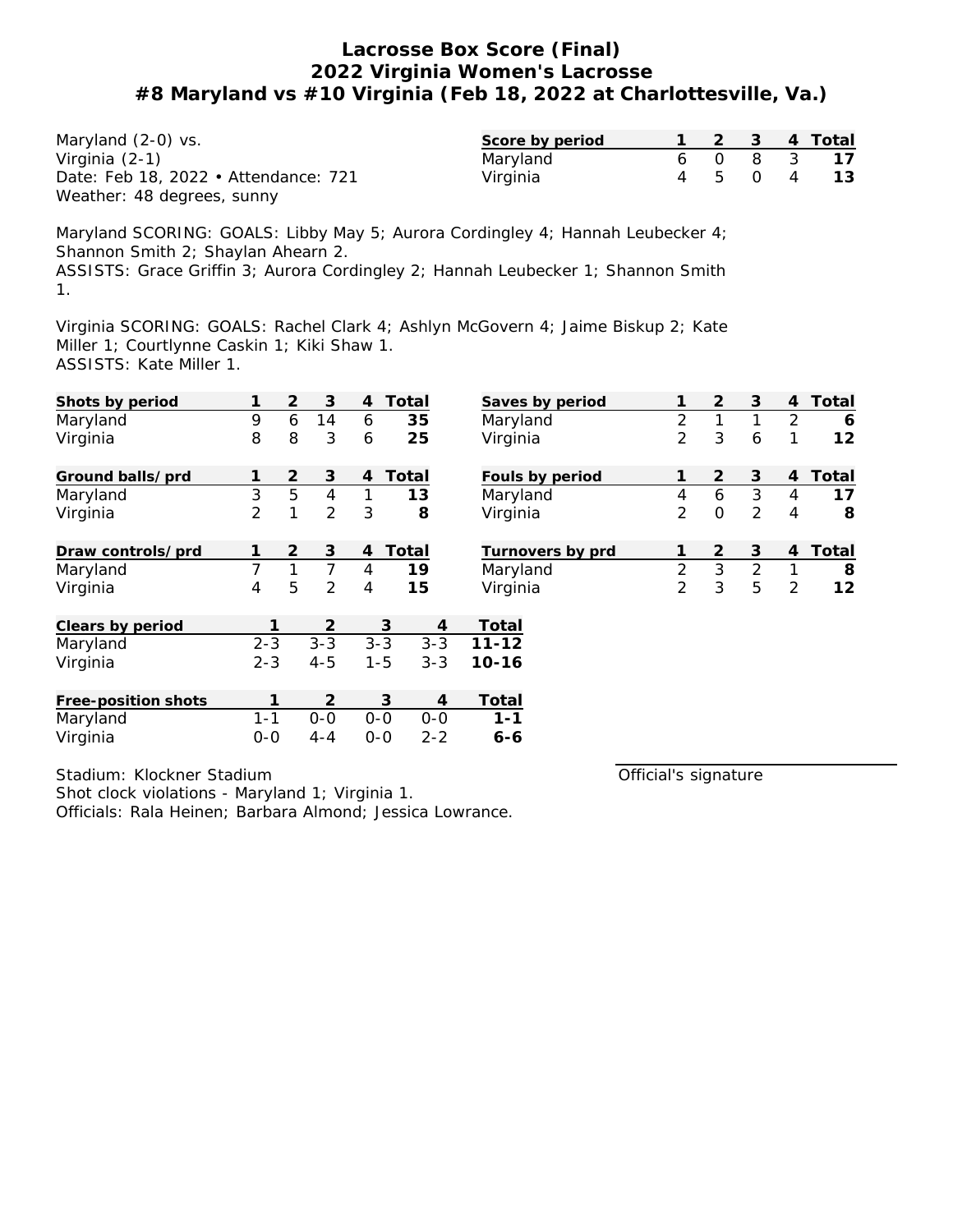Maryland (2-0) vs. Virginia (2-1) Date: Feb 18, 2022 • Attendance: 721 Weather: 48 degrees, sunny

| Score by period |  | 4 | Total |
|-----------------|--|---|-------|
| Maryland        |  |   |       |
| Virginia        |  |   |       |

Maryland SCORING: GOALS: Libby May 5; Aurora Cordingley 4; Hannah Leubecker 4; Shannon Smith 2; Shaylan Ahearn 2. ASSISTS: Grace Griffin 3; Aurora Cordingley 2; Hannah Leubecker 1; Shannon Smith 1.

Virginia SCORING: GOALS: Rachel Clark 4; Ashlyn McGovern 4; Jaime Biskup 2; Kate Miller 1; Courtlynne Caskin 1; Kiki Shaw 1. ASSISTS: Kate Miller 1.

| Shots by period     |         | 2              | 3              | $\overline{4}$ | Total   | Saves by period  |                | $\overline{2}$ | 3              | 4              | Total |
|---------------------|---------|----------------|----------------|----------------|---------|------------------|----------------|----------------|----------------|----------------|-------|
| Maryland            | 9       | 6              | 14             | 6              | 35      | Maryland         | $\overline{2}$ | 1              | 1              | $\overline{2}$ | 6     |
| Virginia            | 8       | 8              | 3              | 6              | 25      | Virginia         | $\overline{2}$ | 3              | 6              |                | 12    |
| Ground balls/prd    |         | $\overline{2}$ | 3              | 4              | Total   | Fouls by period  |                | $\overline{2}$ | 3              | 4              | Total |
| Maryland            | 3       | 5              | $\overline{4}$ | 1              | 13      | Maryland         | 4              | 6              | $\mathfrak{Z}$ | 4              | 17    |
| Virginia            | 2       | 1              | $\overline{2}$ | 3              | 8       | Virginia         | $\overline{2}$ | $\overline{O}$ | $\overline{2}$ | 4              | 8     |
| Draw controls/prd   |         | 2              | 3              | $\overline{4}$ | Total   | Turnovers by prd |                | $\overline{2}$ | 3              | 4              | Total |
| Maryland            | 7       | 1              | 7              | 4              | 19      | Maryland         | $\overline{2}$ | 3              | $\overline{2}$ | 1              | 8     |
| Virginia            | 4       | 5              | $\overline{2}$ | 4              | 15      | Virginia         | $\overline{2}$ | 3              | 5              | 2              | 12    |
| Clears by period    |         |                | 2              |                | 3<br>4  | Total            |                |                |                |                |       |
| Maryland            | $2 - 3$ |                | $3 - 3$        | $3 - 3$        | $3 - 3$ | $11 - 12$        |                |                |                |                |       |
| Virginia            | $2 - 3$ |                | $4 - 5$        | $1 - 5$        | $3 - 3$ | $10 - 16$        |                |                |                |                |       |
| Free-position shots |         |                | 2              |                | 3<br>4  | Total            |                |                |                |                |       |
| Maryland            | $1 - 1$ |                | $0-0$          | $0-0$          | $0-0$   | $1 - 1$          |                |                |                |                |       |
| Virginia            | $0-0$   |                | $4 - 4$        | $O-O$          | $2 - 2$ | $6 - 6$          |                |                |                |                |       |

Stadium: Klockner Stadium

Shot clock violations - Maryland 1; Virginia 1.

Officials: Rala Heinen; Barbara Almond; Jessica Lowrance.

Official's signature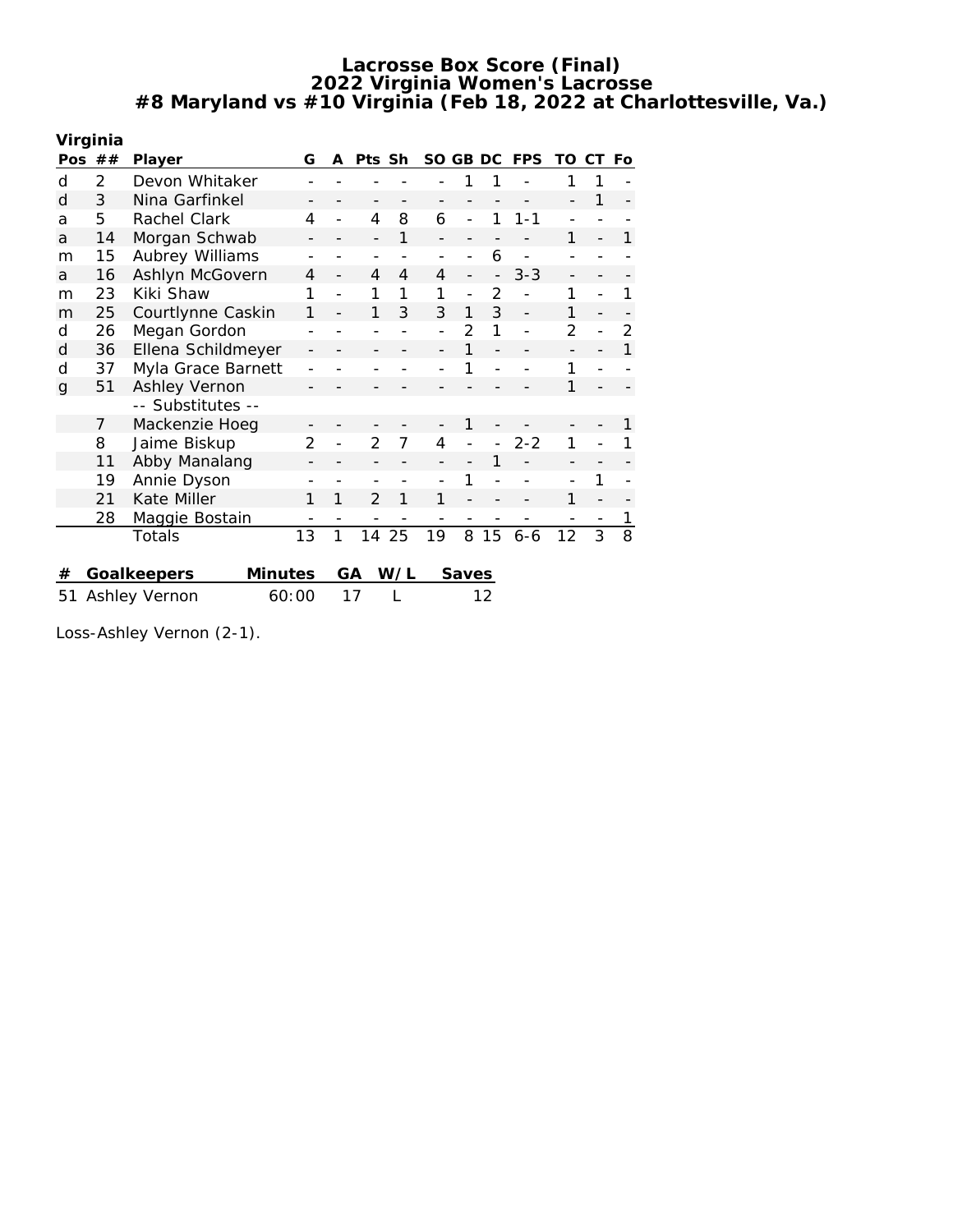| Virginia     |    |                               |                |   |                |     |          |       |    |            |                          |    |     |
|--------------|----|-------------------------------|----------------|---|----------------|-----|----------|-------|----|------------|--------------------------|----|-----|
| Pos          | ## | <b>Player</b>                 | G              | A | Pts Sh         |     | SO GB DC |       |    | <b>FPS</b> | TO                       | CТ | Fo. |
| d            | 2  | Devon Whitaker                |                |   |                |     |          |       |    |            |                          |    |     |
| d            | 3  | Nina Garfinkel                |                |   |                |     |          |       |    |            |                          | 1  |     |
| a            | 5  | Rachel Clark                  | 4              |   | 4              | 8   | 6        |       | 1  | $1 - 1$    |                          |    |     |
| a            | 14 | Morgan Schwab                 |                |   |                | 1   |          |       |    |            | 1                        |    | 1   |
| m            | 15 | Aubrey Williams               |                |   |                |     |          |       | 6  |            |                          |    |     |
| a            | 16 | Ashlyn McGovern               | 4              |   | 4              | 4   | 4        |       |    | $3 - 3$    | $\overline{\phantom{0}}$ |    |     |
| m            | 23 | Kiki Shaw                     | 1              |   |                | 1   | 1        |       | 2  |            | 1                        |    |     |
| m            | 25 | Courtlynne Caskin             | 1              |   | 1              | 3   | 3        | 1     | 3  |            | 1                        |    |     |
| d            | 26 | Megan Gordon                  |                |   |                |     |          | 2     | 1  |            | 2                        |    | 2   |
| d            | 36 | Ellena Schildmeyer            |                |   |                |     |          |       |    |            |                          |    | 1   |
| d            | 37 | Myla Grace Barnett            |                |   |                |     |          |       |    |            | 1                        |    |     |
| $\mathbf{q}$ | 51 | Ashley Vernon                 |                |   |                |     |          |       |    |            | 1                        |    |     |
|              |    | -- Substitutes --             |                |   |                |     |          |       |    |            |                          |    |     |
|              | 7  | Mackenzie Hoeg                |                |   |                |     |          |       |    |            |                          |    |     |
|              | 8  | Jaime Biskup                  | $\overline{2}$ |   | 2              | 7   | 4        |       |    | 2-2        | 1                        |    |     |
|              | 11 | Abby Manalang                 |                |   |                |     |          |       |    |            |                          |    |     |
|              | 19 | Annie Dyson                   |                |   |                |     |          |       |    |            |                          |    |     |
|              | 21 | Kate Miller                   | 1              | 1 | $\mathfrak{D}$ | 1   | 1        |       |    |            | 1                        |    |     |
|              | 28 | Maggie Bostain                |                |   |                |     |          |       |    |            |                          |    |     |
|              |    | Totals                        | 13             | 1 | 14             | 25  | 19       | 8     | 15 | $6 - 6$    | 12                       | 3  | 8   |
|              |    |                               |                |   |                |     |          |       |    |            |                          |    |     |
| #            |    | Goalkeepers<br><b>Minutes</b> |                |   | GА             | W/L |          | Saves |    |            |                          |    |     |
| 51           |    | Ashley Vernon<br>60:00        |                |   | 17             |     |          |       | 12 |            |                          |    |     |

Loss-Ashley Vernon (2-1).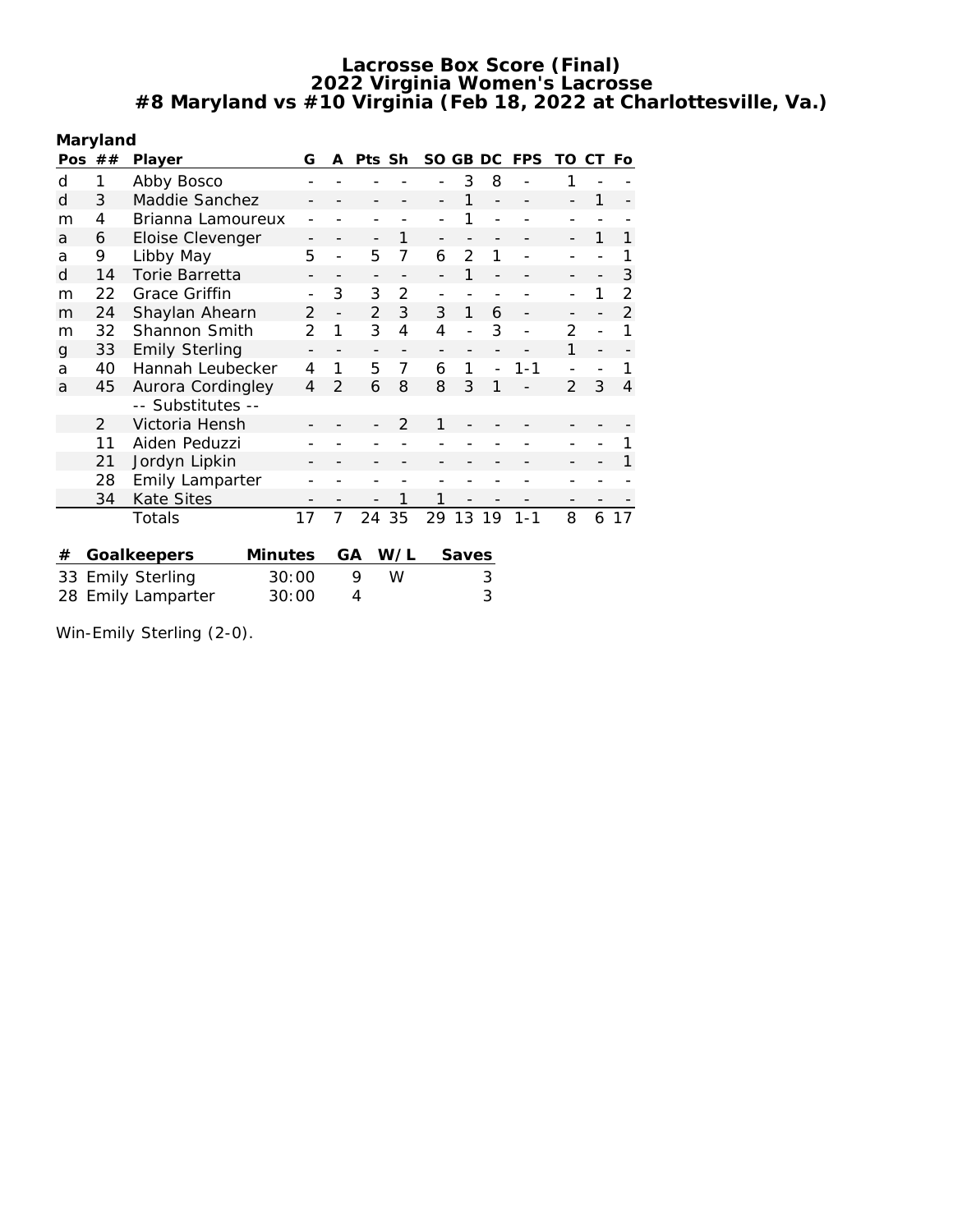**Maryland**

| Pos | ## | Player                 | G              | A              | Pts Sh         |                | SO. | GB            | DC | <b>FPS</b> | TO             | CT | Fo             |
|-----|----|------------------------|----------------|----------------|----------------|----------------|-----|---------------|----|------------|----------------|----|----------------|
| d   | 1  | Abby Bosco             |                |                |                |                |     | 3             | 8  |            | 1              |    |                |
| d   | 3  | Maddie Sanchez         |                |                |                |                |     | 1             |    |            |                | 1  |                |
| m   | 4  | Brianna Lamoureux      |                |                |                |                |     |               |    |            |                |    |                |
| a   | 6  | Eloise Clevenger       |                |                |                | 1              |     |               |    |            |                | 1  | 1              |
| a   | 9  | Libby May              | 5              |                | 5              | 7              | 6   | $\mathcal{P}$ | 1  |            |                |    |                |
| d   | 14 | Torie Barretta         |                |                |                |                |     | 1             |    |            |                |    | 3              |
| m   | 22 | Grace Griffin          |                | 3              | 3              | $\overline{2}$ |     |               |    |            |                | 1  | $\overline{2}$ |
| m   | 24 | Shaylan Ahearn         | $\overline{2}$ | $\overline{a}$ | $\overline{2}$ | 3              | 3   | 1             | 6  |            |                |    | $\overline{2}$ |
| m   | 32 | Shannon Smith          | $\mathcal{P}$  | 1              | 3              | 4              | 4   |               | 3  |            | $\overline{2}$ |    | 1              |
| g   | 33 | <b>Emily Sterling</b>  |                |                |                |                |     |               |    |            | 1              |    |                |
| a   | 40 | Hannah Leubecker       | 4              | 1              | 5              | 7              | 6   | 1             |    | $1 - 1$    |                |    |                |
| a   | 45 | Aurora Cordingley      | $\overline{4}$ | $\overline{2}$ | 6              | 8              | 8   | 3             | 1  |            | $\mathcal{P}$  | 3  | 4              |
|     |    | -- Substitutes --      |                |                |                |                |     |               |    |            |                |    |                |
|     | 2  | Victoria Hensh         |                |                |                | $\mathcal{P}$  | 1   |               |    |            |                |    |                |
|     | 11 | Aiden Peduzzi          |                |                |                |                |     |               |    |            |                |    |                |
|     | 21 | Jordyn Lipkin          |                |                |                |                |     |               |    |            |                |    |                |
|     | 28 | <b>Emily Lamparter</b> |                |                |                |                |     |               |    |            |                |    |                |
|     | 34 | <b>Kate Sites</b>      |                |                |                | 1              |     |               |    |            |                |    |                |
|     |    | Totals                 | 17             | 7              | 24             | 35             | 29  | 13            | 19 | $1 - 1$    | 8              | 6  | 17             |
|     |    |                        |                |                |                |                |     |               |    |            |                |    |                |
| #   |    | Minutes<br>Goalkeepers |                |                | GА             | W/L            |     | Saves         |    |            |                |    |                |
|     |    | 33 Emily Sterling      | 30:00          |                | 9              | W              |     |               | 3  |            |                |    |                |
| 28  |    | <b>Emily Lamparter</b> | 30:00          |                | 4              |                |     |               | 3  |            |                |    |                |
|     |    |                        |                |                |                |                |     |               |    |            |                |    |                |

Win-Emily Sterling (2-0).